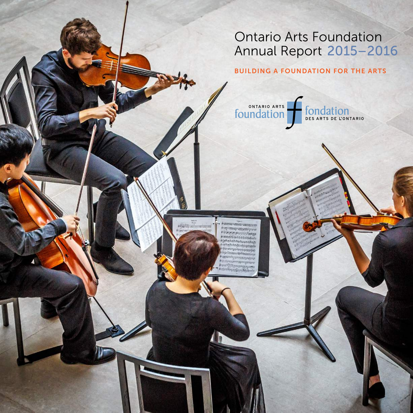# Ontario Arts Foundation Annual Report 2015–2016

# BUILDING A FOUNDATION FOR THE ARTS



men sminster **Service Constant Parties Processor** Construction 

<u>er minn minnerminn</u>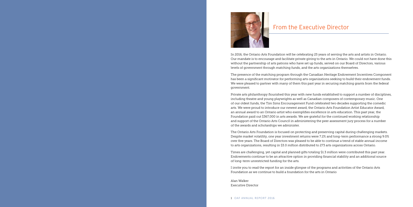

In 2016, the Ontario Arts Foundation will be celebrating 25 years of serving the arts and artists in Ontario. Our mandate is to encourage and facilitate private giving to the arts in Ontario. We could not have done this without the partnership of arts patrons who have set up funds, served on our Board of Directors, various levels of government through matching funds, and the arts organizations themselves.

The presence of the matching program through the Canadian Heritage Endowment Incentives Component has been a significant motivator for performing arts organizations seeking to build their endowment funds. We were pleased to partner with many of them this past year in securing matching grants from the federal government.

Private arts philanthropy flourished this year with new funds established to support a number of disciplines, including theatre and young playwrights as well as Canadian composers of contemporary music. One of our oldest funds, the Tim Sims Encouragement Fund celebrated two decades supporting the comedic arts. We were proud to introduce our newest award, the Ontario Arts Foundation Artist Educator Award, an annual award to an Ontario artist who exemplifies excellence in arts education. This past year, the Foundation paid out \$367,000 in arts awards. We are grateful for the continued working relationship and support of the Ontario Arts Council in administering the peer assessment jury process for a number of the awards and scholarships we administer.

The Ontario Arts Foundation is focused on protecting and preserving capital during challenging markets. Despite market volatility, one year investment returns were 7.2% and long-term performance a strong 9.0% over five years. The Board of Directors was pleased to be able to continue a trend of stable annual income to arts organizations, resulting in \$3.0 million distributed to 273 arts organizations across Ontario.

Times are challenging, yet capital and planned gifts totaling \$1.3 million were contributed this past year. Endowments continue to be an attractive option in providing financial stability and an additional source of long-term unrestricted funding for the arts.

I invite you to read the report for an inside glimpse of the programs and activities of the Ontario Arts Foundation as we continue to build a foundation for the arts in Ontario

Alan Walker Executive Director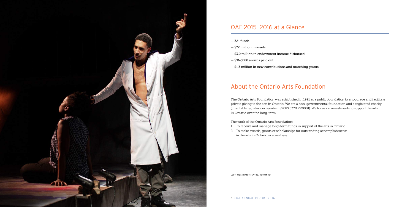- 321 funds
- \$72 million in assets
- \$3.0 million in endowment income disbursed
- \$367,000 awards paid out
- \$1.3 million in new contributions and matching grants

# About the Ontario Arts Foundation

The Ontario Arts Foundation was established in 1991 as a public foundation to encourage and facilitate private giving to the arts in Ontario. We are a non-governmental foundation and a registered charity (charitable registration number: 89085 6370 RR0001). We focus on investments to support the arts in Ontario over the long-term.

The work of the Ontario Arts Foundation:

- 1. To receive and manage long-term funds in support of the arts in Ontario.
- 2. To make awards, grants or scholarships for outstanding accomplishments in the arts in Ontario or elsewhere.



# OAF 2015–2016 at a Glance

LEFT: OBSIDIAN THEATRE, TORONTO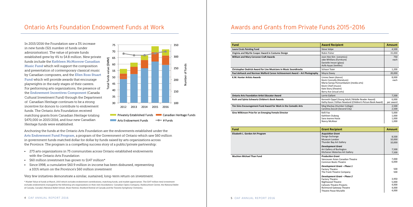# Awards and Grants from Private Funds 2015–2016

# **Laura Ciruls Painting Fund Virginia and Myrtle Cooper Award in Costume Design**

Anchoring the funds at the Ontario Arts Foundation are the endowments established under the Arts Endowment Fund Program, a program of the Government of Ontario which saw \$60 million in government funds matched dollar for dollar by funds raised by arts organizations across the Province. The program is a compelling success story of a public/private partnership:

- 273 arts organizations in 75 communities across Ontario established endowments with the Ontario Arts Foundation
- \$60 million investment has grown to \$147 million\*
- Since 1998, a cumulative \$60.9 million in income has been disbursed, representing a 101% return on the Province's \$60 million investment

Very few initiatives demonstrate a similar, sustained, long-term return on investment.

\* Market Value of funds at March, 2015 which includes endowment contributions, matching funds, and market appreciation. The \$147 million total investment includes endowments managed by the following arts organizations in their own foundations: Canadian Opera Company, Harbourfront Centre, the National Ballet of Canada, Canada's National Ballet School, Shaw Festival, Stratford Festival of Canada and the Toronto Symphony Orchestra.

In 2015/2016 the Foundation saw a 3% increase in new funds (321 number of funds under administration). The value of private funds established grew by 4% to \$4.8 million. New private funds include the Kathleen McMorrow Canadian Music Fund which will support the composition and presentation of contemporary classical music by Canadian composers, and the Ellen Ross Stuart Fund which will provide awards that encourage playwrights in the early stages of their careers. For performing arts organizations, the presence of the Endowment Incentives Component (Canada Cultural Investment Fund) through the Department of Canadian Heritage continues to be a strong incentive for donors to contribute to endowment funds. The Ontario Arts Foundation received matching grants from Canadian Heritage totaling \$470,000 in 2015/2016, and four new Canadian Heritage funds were established.



# Ontario Arts Foundation Endowment Funds at Work

| Fund                                                                       | <b>Award Recipient</b>                                                                                                                                                     | <b>Amount</b>                             |
|----------------------------------------------------------------------------|----------------------------------------------------------------------------------------------------------------------------------------------------------------------------|-------------------------------------------|
| <b>Laura Ciruls Painting Fund</b>                                          | <b>Steve Volpe</b>                                                                                                                                                         | 4,500                                     |
| Virginia and Myrtle Cooper Award in Costume Design                         | Robin Fisher                                                                                                                                                               | 15,000                                    |
| William and Mary Corcoran Craft Awards                                     | Joon Hee Kim (ceramics)<br>Jake Whillans (furniture)<br>Danielle Ireson (glass)<br>Asifa Ayyaz (textiles)                                                                  | 750<br>each                               |
| Christopher Dedrick Award for Live Musicians in Music Soundtracks          | Schaun Tozer                                                                                                                                                               | 1,200                                     |
| Paul deHueck and Norman Walford Career Achievement Award – Art Photography | Moyra Davey                                                                                                                                                                | 20,000                                    |
| K.M. Hunter Artists Awards                                                 | Linnea Swan (dance)<br>Kevin Connolly (literature)<br>Maria-Saroja Ponnambalam (media arts)<br>Kevin Chief (music)<br>Kate Story (theatre)<br>Barry Ace (visual arts)      | 8,000<br>each                             |
| <b>Ontario Arts Foundation Artist Educator Award</b>                       | Lorrie Gallant                                                                                                                                                             | 7,500                                     |
| Ruth and Sylvia Schwartz Children's Book Awards                            | Kenneth Oppel (Young Adult / Middle Reader Award)<br>Kathy Kacer / Gillian Newland (Children's Picture Book Award)                                                         | 6,000<br>per award                        |
| Tim Sims Encouragement Fund Award for Work in the Comedic Arts             | Meg Mackay (Humber College)<br>Carolina Zoccoli (Second City)                                                                                                              | 2,500<br>2,500                            |
| Gina Wilkinson Prize for an Emerging Female Director                       | Kelli Fox<br>Kathleen Duborg<br>Sara-Jeanne Hosie<br>Nancy McAlear                                                                                                         | 5,000<br>1,000<br>1,000<br>1,000          |
| Fund                                                                       | <b>Grant Recipient</b>                                                                                                                                                     | <b>Amount</b>                             |
| Elizabeth L. Gordon Art Program                                            | <b>Acquisition Grant</b><br>Design Exchange<br>Museum London<br>Thunder Bay Art Gallery                                                                                    | 8,500<br>10,000<br>10,000                 |
|                                                                            | <b>Development Grant</b><br>Art Gallery of Burlington<br>Kitchener-Waterloo Art Gallery                                                                                    | 7,500<br>7,500                            |
| Wuchien Michael Than Fund                                                  | <b>Production Grant</b><br>Vancouver Asian Canadian Theatre<br><b>Common Boots Theatre</b>                                                                                 | 7,000<br>6,000                            |
|                                                                            | Development Grant - Phase 1<br><b>Factory Theatre</b><br>The Frank Theatre Company                                                                                         | 500<br>500                                |
|                                                                            | Development Grant - Phase 2<br><b>Factory Theatre</b><br>Nightwood Theatre<br><b>Cahoots Theatre Projects</b><br>Richmond Gateway Theatre<br><b>Theatre Passe Muraille</b> | 3,950<br>5,000<br>4,000<br>4,000<br>4,000 |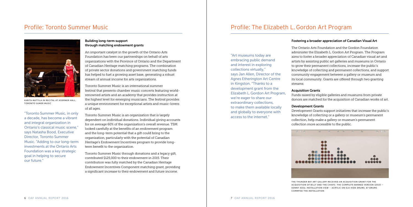## Fostering a broader appreciation of Canadian Visual Art

The Ontario Arts Foundation and the Gordon Foundation administer the Elizabeth L. Gordon Art Program. The Program aims to foster a broader appreciation of Canadian visual art and artists by assisting public art galleries and museums in Ontario to grow their permanent collections, increase the public's knowledge of collecting and permanent collections, and support community engagement between a gallery or museum and its local community. Grants are offered through two granting streams:

## Acquisition Grants

Funds raised by eligible galleries and museums from private donors are matched for the acquisition of Canadian works of art.

## Development Grants

Development Grants support initiatives that increase the public's knowledge of collecting or a gallery or museum's permanent collection, help make a gallery or museum's permanent collection more accessible to the public.



### Building long-term support through matching endowment grants

An important catalyst in the growth of the Ontario Arts Foundation has been our partnerships on behalf of arts organizations with the Province of Ontario and the Department of Canadian Heritage matching programs. The combination of private sector donations and government matching funds has helped to fuel a growing asset base, generating a robust stream of annual income for arts organizations.

Toronto Summer Music is an international summer festival that presents chamber music concerts featuring worldrenowned artists and an academy that provides instruction at the highest level for emerging musicians. The festival provides a unique environment for exceptional artists and music-lovers of all ages.

Toronto Summer Music is an organization that is largely dependent on individual donations. Individual giving accounts for on average 60% of the organization's overall revenue. TSM looked carefully at the benefits of an endowment program and the long-term potential that a gift could bring to the organization, particularly with the potential of Canadian Heritage's Endowment Incentives program to provide longterm benefit to the organization.

Toronto Summer Music through donations and a legacy gift, contributed \$125,000 to their endowment in 2015. Their contribution was fully matched by the Canadian Heritage Endowment Incentives Component matching grant, providing a significant increase to their endowment and future income.

# Profile: Toronto Summer Music **Profile: The Elizabeth L. Gordon Art Program**

"Toronto Summer Music, in only a decade, has become a vibrant and integral organization in Ontario's classical music scene," says Natasha Bood, Executive Director, Toronto Summer Music. "Adding to our long-term investments at the Ontario Arts Foundation was a key strategic goal in helping to secure our future."

"Art museums today are embracing public demand and interest in exploring collections virtually," says Jan Allen, Director of the Agnes Etherington Art Centre in Kingston. "Thanks to a development grant from the Elizabeth L. Gordon Art Program, we're eager to share our extraordinary collections, to make them available locally and globally to everyone with access to the internet."



KARITA MATTILA IN RECITAL AT KOERNER HALL, TORONTO SUMER MUSIC

THE THUNDER BAY ART GALLERY RECEIVED AN ACQUISITION GRANT FOR THE ACQUISITION OF BILLY AND THE CHIEFS: THE COMPLETE BANNED VERSION (2013) – SONNY ASSU, INSTALLATION VIEW – ACRYLIC ON ELK-HIDE DRUMS, 67 DRUMS COMRPISE THE INSTALLATION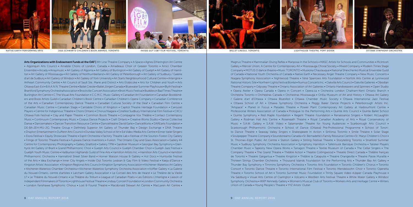Magnus Theatre • Mammalian Diving Reflex • Mariposa In the Schools • MASC Artists for Schools and Communities • McIntosh Gallery • Mercer Union, A Centre for Contemporary Art • Mississauga Choral Society • Mixed Company • Modern Times Stage Company • MOTUS O dance theatre • Music TORONTO • Muskoka Chautauqua • National Shevchenko Musical Ensemble Guild of Canada • National Youth Orchestra of Canada • Native Earth • Necessary Angel Theatre Company • New Music Concerts • Niagara Symphony Association • Nightwood Theatre • Nine Sparrows Arts Foundation • Norfolk Arts Centre at Lynnwood National Historic Site • Northern Lights Festival Boréal • Numus Concerts Inc. • Oakville Arts Council • Oakville Galleries • Obsidian Theatre Company • Odyssey Theatre • Ontario Association of Art Galleries • Ontario Handweavers and Spinners • Open Studio • Opera Atelier • Opera Canada • Opera in Concert • Opera.ca • Orchestra London Chatham-Kent Ontario Branch • Orchestra Toronto • Orchestras Canada • Orchestras Mississauga • Orillia Museum of Art and History • Ottawa Art Gallery / Galerie d'art d'Ottawa • Ottawa Bluesfest • Ottawa Chamber Music Society • Ottawa International Jazz Festival • Ottawa School of Art • Ottawa Symphony Orchestra • Peggy Baker Dance Projects • Peterborough Artists Inc. "Artspace" • Planet in Focus • Pleiades Theatre • Power Plant Contemporary Art Gallery at Harbourfront Centre • Professional Writers Association of Canada • Prologue to the Performing Arts • Quinte Arts Council • Quinte Ballet School • Quinte Symphony • Red Maple Foundation • Regent Theatre Foundation • Renaissance Singers • Robert McLaughlin Gallery • Rodman Hall Arts Centre • Roseneath Theatre • Royal Canadian Academy of Arts • Royal Conservatory of Music • S.A.W. Gallery • S.A.W. Video • Salamander Theatre for Young Audiences • Scarborough Arts Council • Scarborough Philharmonic Orchestra • School of Dance (Ottawa) Pre-Professional Programme • School of Toronto Dance Theatre • Seaway Valley Singers • Shakespeare In Action • Sinfonia Toronto • Smile Theatre • Solar Stage • Soulpepper Theatre Company • Soundstreams Canada • St. Bernadette's Family Resource Centre • St. Marys Children's Choir • St. Thomas–Elgin Public Art Centre • Station Gallery • Stirling Festival Theatre • Storytelling Toronto • Stratford Summer Music • Sudbury Symphony Orchestra Association • Symphony Hamilton • Tafelmusik Baroque Orchestra • Talisker Players Chamber Music • Tapestry New Opera Works • Tarragon Theatre • Textile Museum of Canada • The Cellar Singers • The Company Theatre • The Grand Theatre • Théâtre Action • Theatre Collingwood • Theatre Direct Canada • Théâtre français de Toronto • Theatre Gargantua • Theatre Kingston • Théâtre la Catapulte • Theatre Orangeville • Theatre Passe Muraille • Thirteen Strings Chamber Orchestra • Thousand Islands Foundation for the Performing Arts • Thunder Bay Art Gallery • Thunder Bay Symphony • Timmins Symphony Orchestra • Toronto Arts Foundation • Toronto Children's Chorus • Toronto Consort • Toronto Dance Theatre • Toronto International Film Festival • Toronto Mendelssohn Choir • Toronto Operetta Theatre • Toronto School of Art • Toronto Summer Music Foundation • Trinity Square Video • Upper Canada Playhouse • Via Salzburg • Visual Arts Centre of Clarington • Volcano • Westben Arts Festival Theatre • White Water Gallery • Windsor Symphony Orchestra • WKP Kennedy Gallery • Women's Musical Club of Toronto • Workers Arts and Heritage Centre • Writers Union of Canada • Young People's Theatre • YYZ Artists' Outlet









2015 SCHWARTZ CHILDREN'S BOOK AWARDS, TORONTO INSIDE OUT LGBT FILM FESTIVAL, TORONTO NATIVE EARTH PERFORMING ARTS BALLET CREOLE, TORONTO LIGHTHOUSE THEATRE, PORT DOVER OTTAWA SYMPHONY ORCHESTRA

Arts Organizations with Endowment Funds at the OAF | 4th Line Theatre Company • A Space • Agnes Etherington Art Centre • Algonquin Arts Council • Amabile Choirs of London, Canada • Amadeaus Choir of Greater Toronto • Amici Chamber Ensemble • Arcady • Arraymusic • Art Gallery of Algoma • Art Gallery of Burlington • Art Gallery of Guelph • Art Gallery of Hamilton • Art Gallery of Mississauga • Art Gallery of Northumberland • Art Gallery of Peterborough • Art Gallery of Sudbury / Galerie d'art de Sudbury • Art Gallery of Windsor • Art Gallery of York University • Art Starts Neighbourhood Cultural Centre • Artengine • Artheart Community Centre • Art Council of Sault Ste. Marie and District • Arts Etobicoke • Arts for Children and Youth • Arts Ottawa East-Est • B.A.A.N.N. Theatre Centre • Ballet Creole • Ballet Jörgen Canada • Bluewater Summer Playhouse • Blyth Festival • Brantford Symphony OrchestraAssociation • Brockville Concert Association • Brott Music Festival • Buddies in Bad Times Theatre • Burlington Art Centre • C The Visual Arts Foundation • C.C.M.C. Music Gallery • Canadian Art Foundation • Canadian Bookbinders and Book Artists Guild • Canadian Children's Book Centre • Canadian Children's Opera Company • Canadian Conference of the Arts • Canadian Contemporary Dance Theatre • Canadian Cultural Society of the Deaf • Canadian Film Centre • Canadian Music Centre • Canadian Stage • Cantabile Choirs of Kingston • Capitol Theatre Heritage Foundation • Carousel Players • Centre for Indigenous Theatre • Choirs Ontario • Chorus Niagara • Cinefest Sudbury International Film Festival • CKCU Ottawa Folk Festival • Clay and Paper Theatre • Common Boots Theatre • Compagnie Vox Théâtre • Contact Contempory Music • Continuum Contemporary Music • Corpus Dance Projects • Craft Ontario • Creative Works Studio • Dance Collective Danse • Dancemakers • Dancer Transition Resource Centre • Dancetheatre David Earle • DanceWorks • DAREarts Foundation • DE-BA-JEH-MU-JIG Theatre Group • Definitely Superior Art Gallery of Thunder Bay • Design Exchange • DNA Theatre • Drayton Entertainment • Dufferin Arts Council • Dundas Valley School of Art • Ed Video Media Arts Centre • Elmer Iseler Singers • Elora Festival • Equity Showcase Theatre • Esprit Orchestra • Factory Theatre Lab • Festival of the Sound • Forest City Gallery • Fringe of Toronto Theatre Festival • Fujiwara Dance Inventions • Fusion: The Ontario Clay and Glass Association • Gallery 44 Centre for Contemporary Photography • Gallery Stratford • Gallery TPW • Gardiner Museum • Georgian Bay Symphony • Glenhyrst Art Gallery of Brant • Grand Philharmonic Choir • Guelph Arts Council • Guelph Chamber Choir • Guelph Jazz Festival • Guelph Youth Music Centre • Haliburton Highlands Guild of Fine Arts • Hamilton Artists Inc. • Hamilton Arts Council • Hamilton Philharmonic Orchestra • Hannaford Street Silver Band • Homer Watson House & Gallery • Hot Docs • Huntsville Festival of the Arts • Idea Exchange • Inner City Angels • Inside Out Toronto Lesbian & Gay Film & Video Festival • Kaeja d'Dance • Kingston Artists' Association • Kingston Regional Arts Council • Kingston Symphony Association • Kitchener-Waterloo Art Gallery • Kitchener-Waterloo Chamber Orchestra • Kitchener-Waterloo Symphony Orchestra Association • Koffler Gallery • La Galerie du Nouvel-Ontario, centre d'artistes • Latcham Gallery Association • Le Conseil des Arts de Hearst • Le Théâtre de la Vieille 17 • Le Théâtre du Nouvel-Ontario • Le Théâtre du Trillium • League of Canadian Poets • Les Éditions L'Interligne • Liaison of Independent Filmmakers of Toronto • Lighthouse Festival Theatre • Lindsay Concert Foundation • London Community Orchestra • London Fanshawe Symphonic Chorus • Lost & Found Theatre • Macdonald Stewart Art Centre • MacLaren Art Centre •



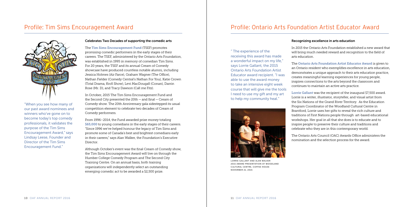### Celebrates Two Decades of supporting the comedic arts

The Tim Sims Encouragement Fund (TSEF) promotes promising comedic performers in the early stages of their careers. The TSEF, administered by the Ontario Arts Foundation, was established in 1995 in memory of comedian Tim Sims. For 20 years, the TSEF and its annual Cream of Comedy showcase have produced countless notable alumni, including Jessica Holmes (Air Farce), Graham Wagner (The Office), Nathan Fielder (Comedy Central's Nathan For You), Katie Crown (Total Drama, Kroll Show), Levi MacDougall (Conan), Darrin Rose (Mr. D), and Tracy Dawson (Call me Fitz).

In October, 2015 The Tim Sims Encouragement Fund and the Second City presented the 20th — and final — Cream of Comedy show. The 20th Anniversary gala sidestepped its usual competition element to celebrate two decades of Cream of Comedy performers.

From 1996–2014, the Fund awarded prize money totaling \$65,000 to young comedians in the early stages of their careers. "Since 1996 we've helped honour the legacy of Tim Sims and promote some of Canada's best and brightest comedians early in their careers," says Alan Walker, the Foundation's Executive Director.

Although October's event was the final Cream of Comedy show, the Tim Sims Encouragement Award will live on through the Humber College Comedy Program and The Second City Training Centre. On an annual basis, both training organizations will independently select an outstanding emerging comedic act to be awarded a \$2,500 prize.

"When you see how many of our past award nominees and winners who've gone on to become today's top comedy professionals, it validates the purpose of the Tim Sims Encouragement Award," says Lindsay Leese, Founder and Director of the Tim Sims Encouragement Fund."

# Profile: Tim Sims Encouragement Award



10 OAF ANNUAL REPORT 2016

## Recognizing excellence in arts education

In 2015 the Ontario Arts Foundation established a new award that will bring much needed reward and recognition to the field of arts education.

The Ontario Arts Foundation Artist Educator Award is given to an Ontario resident who exemplifies excellence in arts education, demonstrates a unique approach to their arts education practice, creates meaningful learning experiences for young people, inspires connections to the arts beyond the classroom and continues to maintain an active arts practice.

Lorrie Gallant was the recipient of the inaugural \$7,500 award. Lorrie is a writer, illustrator, storyteller, and visual artist from the Six Nations of the Grand River Territory. As the Education Program Coordinator of the Woodland Cultural Centre in Brantford, Lorrie uses her gifts to reveal the rich culture and traditions of First Nations people through art-based educational workshops. Her goal in all that she does is to educate and to inspire people to preserve their culture and traditions and celebrate who they are in this contemporary world.

The Ontario Arts Council (OAC) Awards Office administers the nomination and the selection process for the award.

" The experience of the receiving this award has made a wonderful impact on my life," says Lorrie Gallant, the 2015 Ontario Arts Foundation Artist Educator award recipient. "I was able to use the award money to take an intensive eight week course that will give me the tools I need to use my gift and my art to help my community heal."

# Profile: Ontario Arts Foundation Artist Educator Award



LORRIE GALLANT AND ALAN WALKER 2015 AWARD PRESENTATION AT WOODLAND CULTURAL CENTRE, COFFEE HOUSE NOVEMBER 21, 2015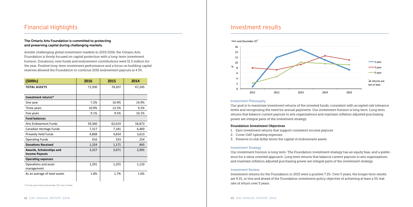# Financial Highlights

# The Ontario Arts Foundation is committed to protecting and preserving capital during challenging markets.

Amidst challenging global investment markets in 2015/2016, the Ontario Arts Foundation is firmly focused on capital protection with a long-term investment horizon. Donations, new funds and endowment contributions were \$1.3 million for the year. Positive long-term investment performance and a focus on building capital reserves allowed the Foundation to continue 2016 endowment payouts at 4.5%.

| (5000s)                                           | 2016   | 2015   | 2014   |
|---------------------------------------------------|--------|--------|--------|
| <b>TOTAL ASSETS</b>                               | 71,930 | 74,207 | 67,245 |
| Investment returns*                               |        |        |        |
| One year                                          | 7.2%   | 10.9%  | 14.9%  |
| Three years                                       | 10.9%  | 12.5%  | 9.2%   |
| Five years                                        | 9.1%   | 9.5%   | 10.1%  |
| <b>Fund balances</b>                              |        |        |        |
| <b>Arts Endowment Funds</b>                       | 59,360 | 62,019 | 56,873 |
| Canadian Heritage Funds                           | 7,317  | 7,181  | 6,469  |
| Privately Held Funds                              | 4,808  | 4,654  | 3,613  |
| <b>Operating Funds</b>                            | 416    | 333    | 254    |
| <b>Donations Received</b>                         | 1,324  | 1,171  | 845    |
| Awards, Scholarships and<br><b>Income Payouts</b> | 3,327  | 3,071  | 2,995  |
| <b>Operating expenses</b>                         |        |        |        |
| Operations and asset<br>management                | 1,291  | 1,255  | 1,110  |
| As an average of total assets                     | 1.8%   | 1.7%   | 1.6%   |

\* for the year ending December 31st (net of fees)

# Investment results

### Investment Philosophy

Our goal is to maximize investment returns of the invested funds, consistent with accepted risk tolerance levels and recognizing the need for annual payments. Our investment horizon is long term. Long term returns that balance current payouts to arts organizations and maintain inflation adjusted purchasing power are integral parts of the investment strategy.

## Foundation Investment Objectives

- 1. Earn investment returns that support consistent income payouts
- 2. Cover OAF operating expenses
- 3. Preserve in real dollar terms the capital of endowment assets

## Investment Strategy

Our investment horizon is long term. The Foundation investment strategy has an equity bias, and a preference for a value oriented approach. Long term returns that balance current payouts to arts organizations and maintain inflation adjusted purchasing power are integral parts of the investment strategy.

### Investment Review

Investment returns for the Foundation in 2015 were a positive 7.2%. Over 5 years, the longer term results are 9.1%, in line and ahead of the Foundation investment policy objective of achieving at least a 5% real rate of return over 5 years.

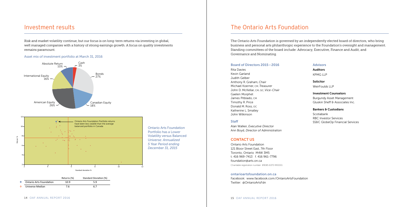Risk and market volatility continue, but our focus is on long-term returns via investing in global, well managed companies with a history of strong earnings growth. A focus on quality investments remains paramount.

|                         | Returns (%) | Standard Deviation (%) |
|-------------------------|-------------|------------------------|
| Ontario Arts Foundation | 10.9        | 5.9                    |
| Universe Median         | 7.6         | 6.7                    |

# Investment results

### Asset mix of investment portfolio at March 31, 2016

Ontario Arts Foundation Portfolio has a Lower Volatility versus Balanced Universe: *Annualized 5 Year Period ending December 31, 2015*

# The Ontario Arts Foundation

### Board of Directors 2015 – 2016

Rita Davies Kevin Garland Judith Gelber Anthony R. Graham, *Chair* Michael Koerner, CM, *Treasurer* John D. McKellar, CM, QC, *Vice-Chair* Gaelen Morphet James Pitblado, CM Timothy R. Price Donald M. Ross, OC Katherine L. Smalley John Wilkinson

### **Staff**

Alan Walker, *Executive Director* Ann Boyd, *Director of Administration*

# CONTACT US

Ontario Arts Foundation 121 Bloor Street East, 7th Floor Toronto, Ontario M4W 3M5 t. 416 969-7413 f. 416 961-7796 foundation@arts.on.ca Charitable registration number 89085 6370 RR0001

### [ontarioartsfoundation.on.ca](http://www.ontarioartsfoundation.on.ca/)

Facebook: [www.facebook.com/OntarioArtsFoundation](https://www.facebook.com/OntarioArtsFoundation) Twitter: [@OntarioArtsFdn](https://twitter.com/ontarioartsfdn)

### Advisors

Auditors KPMG LLP

Solicitor WeirFoulds LLP

### Investment Counselors

Burgundy Asset Management Gluskin Sheff & Associates Inc.

## Bankers & Custodians

Scotiabank RBC Investor Services SS&C GlobeOp Financial Services

The Ontario Arts Foundation is governed by an independently elected board of directors, who bring business and personal arts philanthropic experience to the Foundation's oversight and management. Standing committees of the board include: Advocacy, Executive, Finance and Audit, and Governance and Nominating.



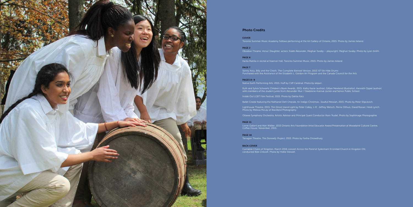

### Photo Credits

COVER Toronto Summer Music Academy Fellows performing at the Art Gallery of Ontario, 2015. Photo by James Ireland.

PAGE 2

Obsidian Theatre, *Venus' Daughter*, actors: Kaleb Alexander, Meghan Swaby – playwright: Meghan Swaby. Photo by Lyon Smith.

PAGE 6

PAGE 7 Sonny Assu, *Billy and the Chiefs: The Complete Banned Version*, 2013. 67 Elk Hide Drums Purchased with the Assistance of the Elizabeth L. Gordon Art Program and the Canada Council for the Arts.

#### PAGES 8–9

Native Earth Performing Arts, 2015. Huff by Cliff Cardinal. Photo by akipari.

Ruth and Sylvia Schwartz Children's Book Awards, 2015. Kathy Kacer (author), Gillian Newland (illustrator), Kenneth Oppel (author) with members of the student juries from Alexander Muir / Gladstone Avenue Junior and Senior Public School.

Inside Out LGBT Film Festival, 2015. Photo by Dahlia Katz.

Ballet Creole featuring the Nathaniel Dett Chorale, An Indigo Christmas…Soulful Messiah, 2015. Photo by Peter Stipcevich.

Photo by Melissa McLay of Blackbird Photography.

Lighthouse Theatre, 2015. *The Ghost Island Light* by Peter Colley, L-R : Jeffrey Wetsch, Perrie Olthuis, David Rosser, Heidi Lynch.

Ottawa Symphony Orchestra, Artistic Advisor and Principal Guest Conductor Alain Trudel. Photo by Sophimage Photographie.

#### PAGE 11

Lorrie Gallant and Alan Walker, 2015 Ontario Arts Foundation Artist Educator Award Presentation at Woodland Cultural Centre,

Coffee House. November, 2015.

#### PAGE 16

Tarragon Theatre, *The Donnelly Project*, 2015. Photo by Fariha Chowdhury.

#### BACK COVER

Cantabile Choirs of Kingston, March 2016 concert *Across the Pond* at Sydenham St United Church in Kingston ON, conducted Bob Chilcott. Photo by Hollie Stewart.